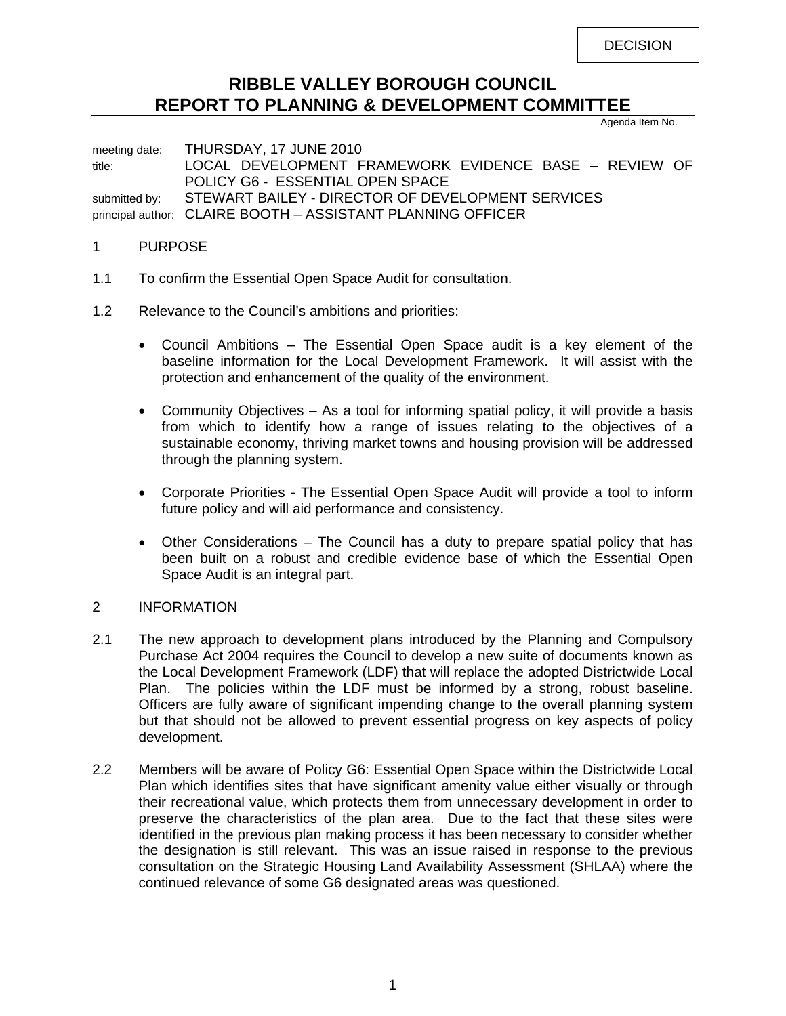**DECISION** 

# **RIBBLE VALLEY BOROUGH COUNCIL REPORT TO PLANNING & DEVELOPMENT COMMITTEE**

Agenda Item No.

meeting date: THURSDAY, 17 JUNE 2010 title: LOCAL DEVELOPMENT FRAMEWORK EVIDENCE BASE – REVIEW OF POLICY G6 - ESSENTIAL OPEN SPACE submitted by: STEWART BAILEY - DIRECTOR OF DEVELOPMENT SERVICES principal author: CLAIRE BOOTH – ASSISTANT PLANNING OFFICER

#### 1 PURPOSE

- 1.1 To confirm the Essential Open Space Audit for consultation.
- 1.2 Relevance to the Council's ambitions and priorities:
	- Council Ambitions The Essential Open Space audit is a key element of the baseline information for the Local Development Framework. It will assist with the protection and enhancement of the quality of the environment.
	- Community Objectives As a tool for informing spatial policy, it will provide a basis from which to identify how a range of issues relating to the objectives of a sustainable economy, thriving market towns and housing provision will be addressed through the planning system.
	- Corporate Priorities The Essential Open Space Audit will provide a tool to inform future policy and will aid performance and consistency.
	- Other Considerations The Council has a duty to prepare spatial policy that has been built on a robust and credible evidence base of which the Essential Open Space Audit is an integral part.

#### 2 INFORMATION

- 2.1 The new approach to development plans introduced by the Planning and Compulsory Purchase Act 2004 requires the Council to develop a new suite of documents known as the Local Development Framework (LDF) that will replace the adopted Districtwide Local Plan. The policies within the LDF must be informed by a strong, robust baseline. Officers are fully aware of significant impending change to the overall planning system but that should not be allowed to prevent essential progress on key aspects of policy development.
- 2.2 Members will be aware of Policy G6: Essential Open Space within the Districtwide Local Plan which identifies sites that have significant amenity value either visually or through their recreational value, which protects them from unnecessary development in order to preserve the characteristics of the plan area. Due to the fact that these sites were identified in the previous plan making process it has been necessary to consider whether the designation is still relevant. This was an issue raised in response to the previous consultation on the Strategic Housing Land Availability Assessment (SHLAA) where the continued relevance of some G6 designated areas was questioned.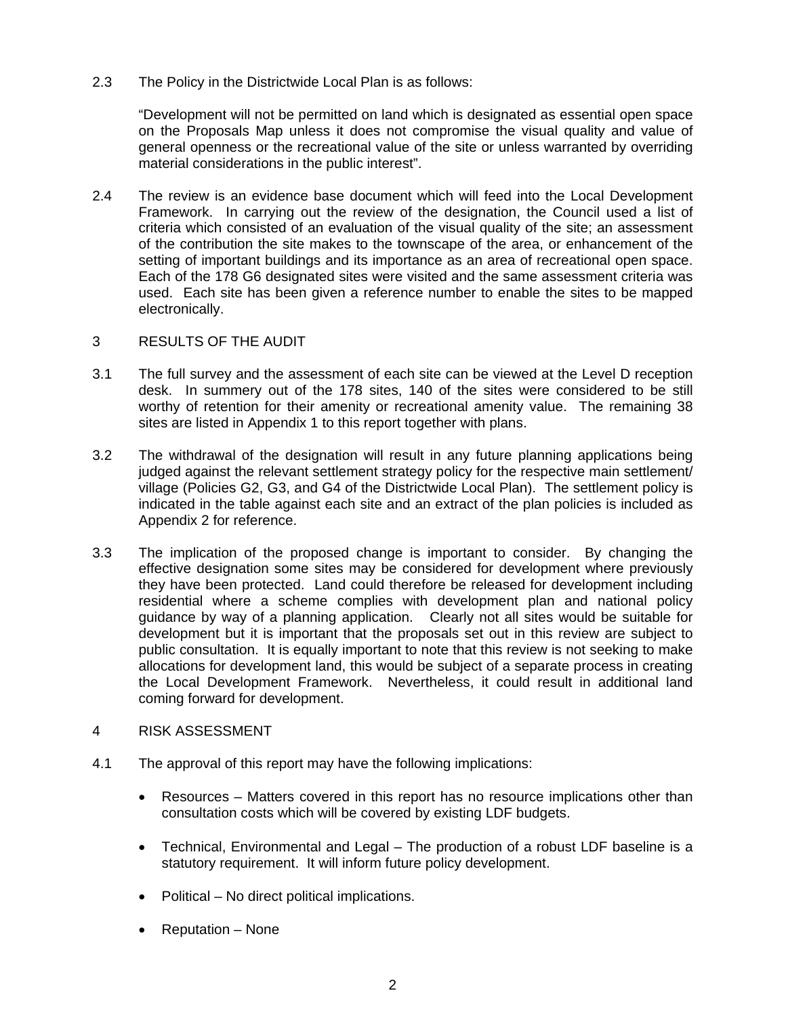2.3 The Policy in the Districtwide Local Plan is as follows:

 "Development will not be permitted on land which is designated as essential open space on the Proposals Map unless it does not compromise the visual quality and value of general openness or the recreational value of the site or unless warranted by overriding material considerations in the public interest".

2.4 The review is an evidence base document which will feed into the Local Development Framework. In carrying out the review of the designation, the Council used a list of criteria which consisted of an evaluation of the visual quality of the site; an assessment of the contribution the site makes to the townscape of the area, or enhancement of the setting of important buildings and its importance as an area of recreational open space. Each of the 178 G6 designated sites were visited and the same assessment criteria was used. Each site has been given a reference number to enable the sites to be mapped electronically.

#### 3 RESULTS OF THE AUDIT

- 3.1 The full survey and the assessment of each site can be viewed at the Level D reception desk. In summery out of the 178 sites, 140 of the sites were considered to be still worthy of retention for their amenity or recreational amenity value. The remaining 38 sites are listed in Appendix 1 to this report together with plans.
- 3.2 The withdrawal of the designation will result in any future planning applications being judged against the relevant settlement strategy policy for the respective main settlement/ village (Policies G2, G3, and G4 of the Districtwide Local Plan). The settlement policy is indicated in the table against each site and an extract of the plan policies is included as Appendix 2 for reference.
- 3.3 The implication of the proposed change is important to consider. By changing the effective designation some sites may be considered for development where previously they have been protected. Land could therefore be released for development including residential where a scheme complies with development plan and national policy guidance by way of a planning application. Clearly not all sites would be suitable for development but it is important that the proposals set out in this review are subject to public consultation. It is equally important to note that this review is not seeking to make allocations for development land, this would be subject of a separate process in creating the Local Development Framework. Nevertheless, it could result in additional land coming forward for development.
- 4 RISK ASSESSMENT
- 4.1 The approval of this report may have the following implications:
	- Resources Matters covered in this report has no resource implications other than consultation costs which will be covered by existing LDF budgets.
	- Technical, Environmental and Legal The production of a robust LDF baseline is a statutory requirement. It will inform future policy development.
	- Political No direct political implications.
	- Reputation None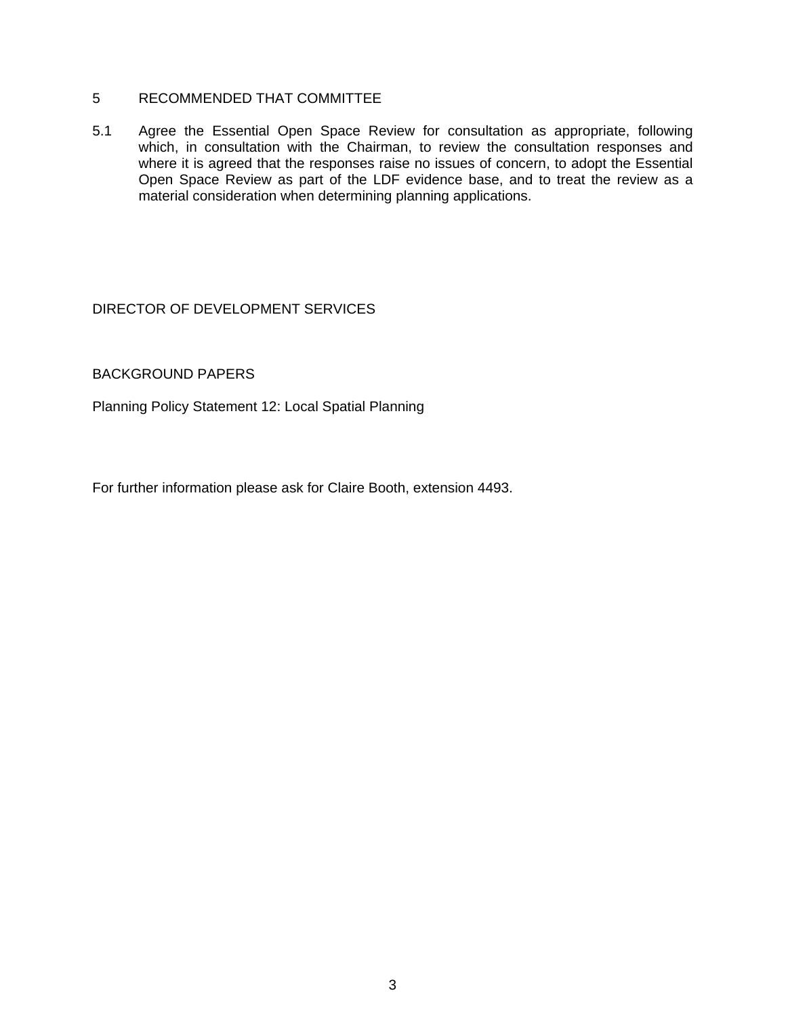# 5 RECOMMENDED THAT COMMITTEE

5.1 Agree the Essential Open Space Review for consultation as appropriate, following which, in consultation with the Chairman, to review the consultation responses and where it is agreed that the responses raise no issues of concern, to adopt the Essential Open Space Review as part of the LDF evidence base, and to treat the review as a material consideration when determining planning applications.

### DIRECTOR OF DEVELOPMENT SERVICES

### BACKGROUND PAPERS

Planning Policy Statement 12: Local Spatial Planning

For further information please ask for Claire Booth, extension 4493.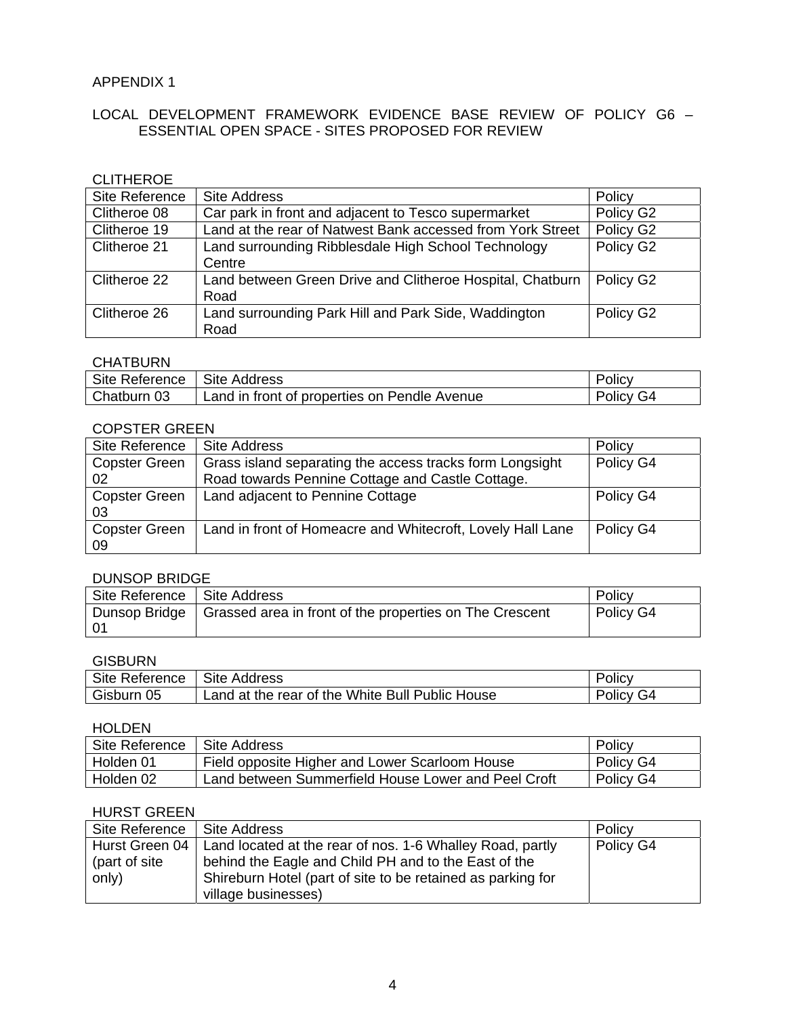### APPENDIX 1

# LOCAL DEVELOPMENT FRAMEWORK EVIDENCE BASE REVIEW OF POLICY G6 – ESSENTIAL OPEN SPACE - SITES PROPOSED FOR REVIEW

# CLITHEROE

| Site Reference | <b>Site Address</b>                                        | Policy    |
|----------------|------------------------------------------------------------|-----------|
| Clitheroe 08   | Car park in front and adjacent to Tesco supermarket        | Policy G2 |
| Clitheroe 19   | Land at the rear of Natwest Bank accessed from York Street | Policy G2 |
| Clitheroe 21   | Land surrounding Ribblesdale High School Technology        | Policy G2 |
|                | Centre                                                     |           |
| Clitheroe 22   | Land between Green Drive and Clitheroe Hospital, Chatburn  | Policy G2 |
|                | Road                                                       |           |
| Clitheroe 26   | Land surrounding Park Hill and Park Side, Waddington       | Policy G2 |
|                | Road                                                       |           |

# **CHATBURN**

| Site Reference | <b>Site Address</b>                          | Policy    |
|----------------|----------------------------------------------|-----------|
| Chatburn 03    | Land in front of properties on Pendle Avenue | Policy G4 |

#### COPSTER GREEN

| Site Reference       | Site Address                                               | Policy    |
|----------------------|------------------------------------------------------------|-----------|
| <b>Copster Green</b> | Grass island separating the access tracks form Longsight   | Policy G4 |
| 02                   | Road towards Pennine Cottage and Castle Cottage.           |           |
| <b>Copster Green</b> | Land adjacent to Pennine Cottage                           | Policy G4 |
| 03                   |                                                            |           |
| <b>Copster Green</b> | Land in front of Homeacre and Whitecroft, Lovely Hall Lane | Policy G4 |
| 09                   |                                                            |           |

#### DUNSOP BRIDGE

| Site Reference   Site Address |                                                                               | Policy    |
|-------------------------------|-------------------------------------------------------------------------------|-----------|
| - 01                          | Dunsop Bridge $\vert$ Grassed area in front of the properties on The Crescent | Policy G4 |

#### **GISBURN**

| Site Reference | <b>Site Address</b>                             | <b>POIICV</b>        |
|----------------|-------------------------------------------------|----------------------|
| Gisburn<br>05  | Land at the rear of the White Bull Public House | G4<br>olicy <b>C</b> |

## HOLDEN

| Site Reference | <b>Site Address</b>                                 | Policy    |
|----------------|-----------------------------------------------------|-----------|
| Holden 01      | Field opposite Higher and Lower Scarloom House      | Policy G4 |
| Holden 02      | Land between Summerfield House Lower and Peel Croft | Policy G4 |

#### HURST GREEN

| Site Reference | l Site Address                                                             | Policy    |
|----------------|----------------------------------------------------------------------------|-----------|
|                | Hurst Green 04   Land located at the rear of nos. 1-6 Whalley Road, partly | Policy G4 |
| (part of site  | behind the Eagle and Child PH and to the East of the                       |           |
| $\mid$ only)   | Shireburn Hotel (part of site to be retained as parking for                |           |
|                | village businesses)                                                        |           |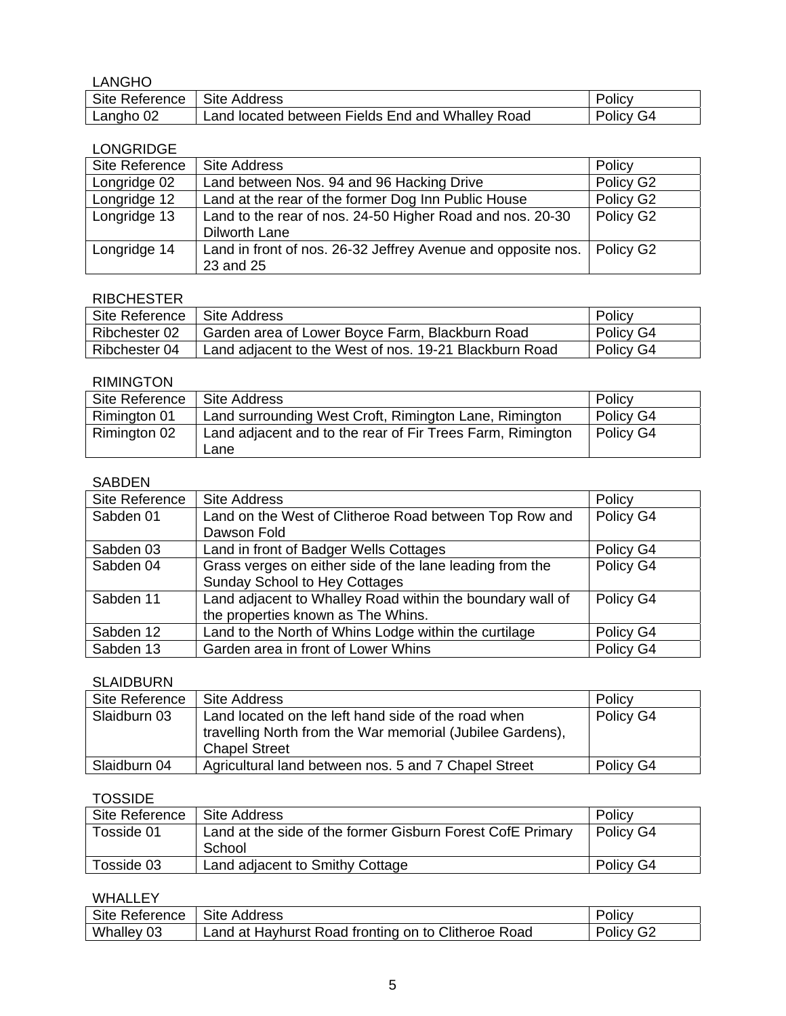| <b>LANGHO</b>  |                                                  |           |
|----------------|--------------------------------------------------|-----------|
| Site Reference | Site Address                                     | Policy    |
| Langho 02      | Land located between Fields End and Whalley Road | Policy G4 |

# LONGRIDGE

| Site Reference | Site Address                                                             | Policy    |
|----------------|--------------------------------------------------------------------------|-----------|
| Longridge 02   | Land between Nos. 94 and 96 Hacking Drive                                | Policy G2 |
| Longridge 12   | Land at the rear of the former Dog Inn Public House                      | Policy G2 |
| Longridge 13   | Land to the rear of nos. 24-50 Higher Road and nos. 20-30                | Policy G2 |
|                | Dilworth Lane                                                            |           |
| Longridge 14   | Land in front of nos. 26-32 Jeffrey Avenue and opposite nos.   Policy G2 |           |
|                | 23 and 25                                                                |           |

# RIBCHESTER

| Site Reference   Site Address |                                                        | Policy    |
|-------------------------------|--------------------------------------------------------|-----------|
| Ribchester 02                 | Garden area of Lower Boyce Farm, Blackburn Road        | Policy G4 |
| Ribchester 04                 | Land adjacent to the West of nos. 19-21 Blackburn Road | Policy G4 |

# RIMINGTON

| Site Reference | Site Address                                               | Policy    |
|----------------|------------------------------------------------------------|-----------|
| Rimington 01   | Land surrounding West Croft, Rimington Lane, Rimington     | Policy G4 |
| Rimington 02   | Land adjacent and to the rear of Fir Trees Farm, Rimington | Policy G4 |
|                | Lane                                                       |           |

# SABDEN

| Site Reference | <b>Site Address</b>                                       | Policy    |
|----------------|-----------------------------------------------------------|-----------|
| Sabden 01      | Land on the West of Clitheroe Road between Top Row and    | Policy G4 |
|                | Dawson Fold                                               |           |
| Sabden 03      | Land in front of Badger Wells Cottages                    | Policy G4 |
| Sabden 04      | Grass verges on either side of the lane leading from the  | Policy G4 |
|                | <b>Sunday School to Hey Cottages</b>                      |           |
| Sabden 11      | Land adjacent to Whalley Road within the boundary wall of | Policy G4 |
|                | the properties known as The Whins.                        |           |
| Sabden 12      | Land to the North of Whins Lodge within the curtilage     | Policy G4 |
| Sabden 13      | Garden area in front of Lower Whins                       | Policy G4 |

# SLAIDBURN

| Site Reference | Site Address                                                                                                                             | Policy    |
|----------------|------------------------------------------------------------------------------------------------------------------------------------------|-----------|
| Slaidburn 03   | Land located on the left hand side of the road when<br>travelling North from the War memorial (Jubilee Gardens),<br><b>Chapel Street</b> | Policy G4 |
| Slaidburn 04   | Agricultural land between nos. 5 and 7 Chapel Street                                                                                     | Policy G4 |

# **TOSSIDE**

| Site Reference | Site Address                                               | Policy    |
|----------------|------------------------------------------------------------|-----------|
| Tosside 01     | Land at the side of the former Gisburn Forest CofE Primary | Policy G4 |
|                | School                                                     |           |
| Tosside 03     | Land adjacent to Smithy Cottage                            | Policy G4 |

#### WHALLEY

| Site Reference | <b>Site Address</b>                                 | Policy    |
|----------------|-----------------------------------------------------|-----------|
| Whalley 03     | Land at Hayhurst Road fronting on to Clitheroe Road | Policy G2 |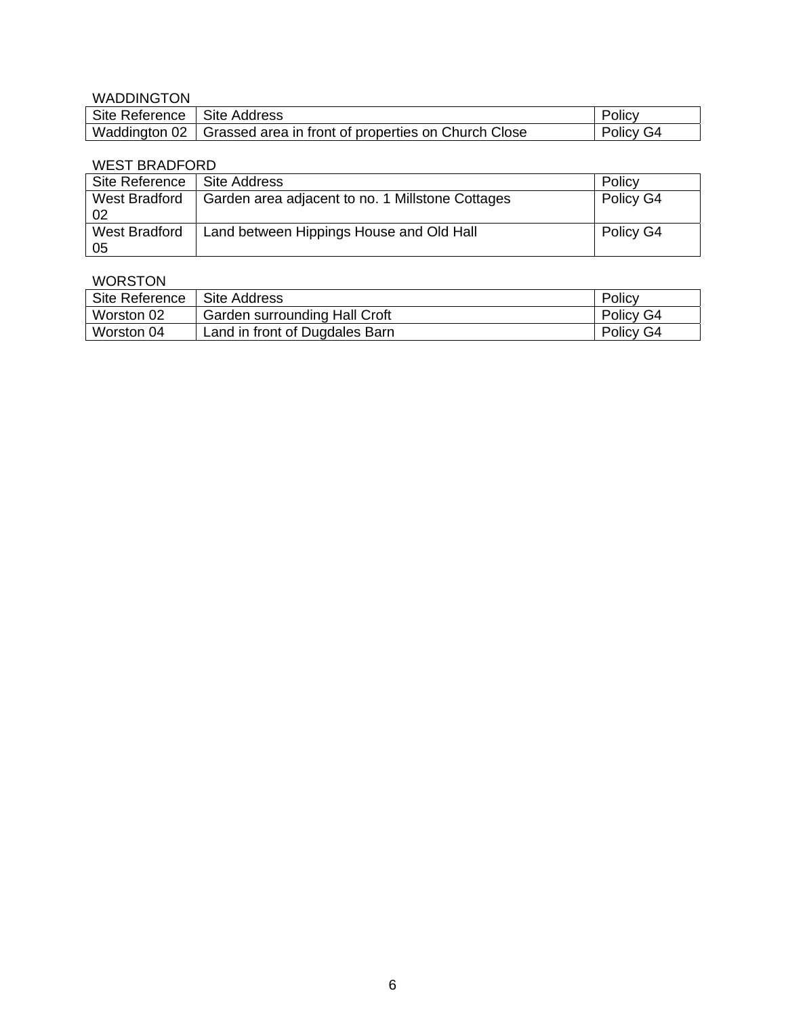# WADDINGTON

| .                             |                                                                     |           |
|-------------------------------|---------------------------------------------------------------------|-----------|
| Site Reference   Site Address |                                                                     | Policy    |
|                               | Waddington 02   Grassed area in front of properties on Church Close | Policy G4 |

## WEST BRADFORD

| Site Reference              | Site Address                                     | Policy    |
|-----------------------------|--------------------------------------------------|-----------|
| <b>West Bradford</b><br>-02 | Garden area adjacent to no. 1 Millstone Cottages | Policy G4 |
| West Bradford<br>-05        | Land between Hippings House and Old Hall         | Policy G4 |

# WORSTON

| Site Reference | <b>Site Address</b>            | Policy    |
|----------------|--------------------------------|-----------|
| Worston 02     | Garden surrounding Hall Croft  | Policy G4 |
| Worston 04     | Land in front of Dugdales Barn | Policy G4 |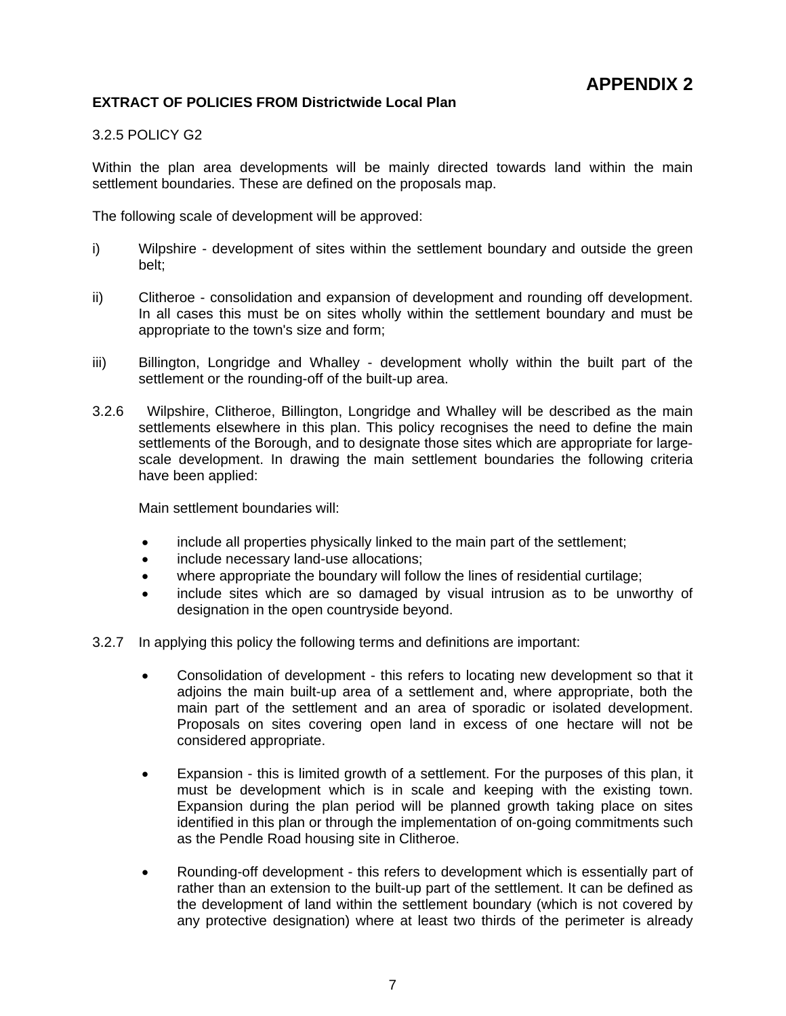# **EXTRACT OF POLICIES FROM Districtwide Local Plan**

## 3.2.5 POLICY G2

Within the plan area developments will be mainly directed towards land within the main settlement boundaries. These are defined on the proposals map.

The following scale of development will be approved:

- i) Wilpshire development of sites within the settlement boundary and outside the green belt;
- ii) Clitheroe consolidation and expansion of development and rounding off development. In all cases this must be on sites wholly within the settlement boundary and must be appropriate to the town's size and form;
- iii) Billington, Longridge and Whalley development wholly within the built part of the settlement or the rounding-off of the built-up area.
- 3.2.6 Wilpshire, Clitheroe, Billington, Longridge and Whalley will be described as the main settlements elsewhere in this plan. This policy recognises the need to define the main settlements of the Borough, and to designate those sites which are appropriate for largescale development. In drawing the main settlement boundaries the following criteria have been applied:

Main settlement boundaries will:

- include all properties physically linked to the main part of the settlement;
- include necessary land-use allocations;
- where appropriate the boundary will follow the lines of residential curtilage;
- include sites which are so damaged by visual intrusion as to be unworthy of designation in the open countryside beyond.
- 3.2.7 In applying this policy the following terms and definitions are important:
	- Consolidation of development this refers to locating new development so that it adjoins the main built-up area of a settlement and, where appropriate, both the main part of the settlement and an area of sporadic or isolated development. Proposals on sites covering open land in excess of one hectare will not be considered appropriate.
	- Expansion this is limited growth of a settlement. For the purposes of this plan, it must be development which is in scale and keeping with the existing town. Expansion during the plan period will be planned growth taking place on sites identified in this plan or through the implementation of on-going commitments such as the Pendle Road housing site in Clitheroe.
	- Rounding-off development this refers to development which is essentially part of rather than an extension to the built-up part of the settlement. It can be defined as the development of land within the settlement boundary (which is not covered by any protective designation) where at least two thirds of the perimeter is already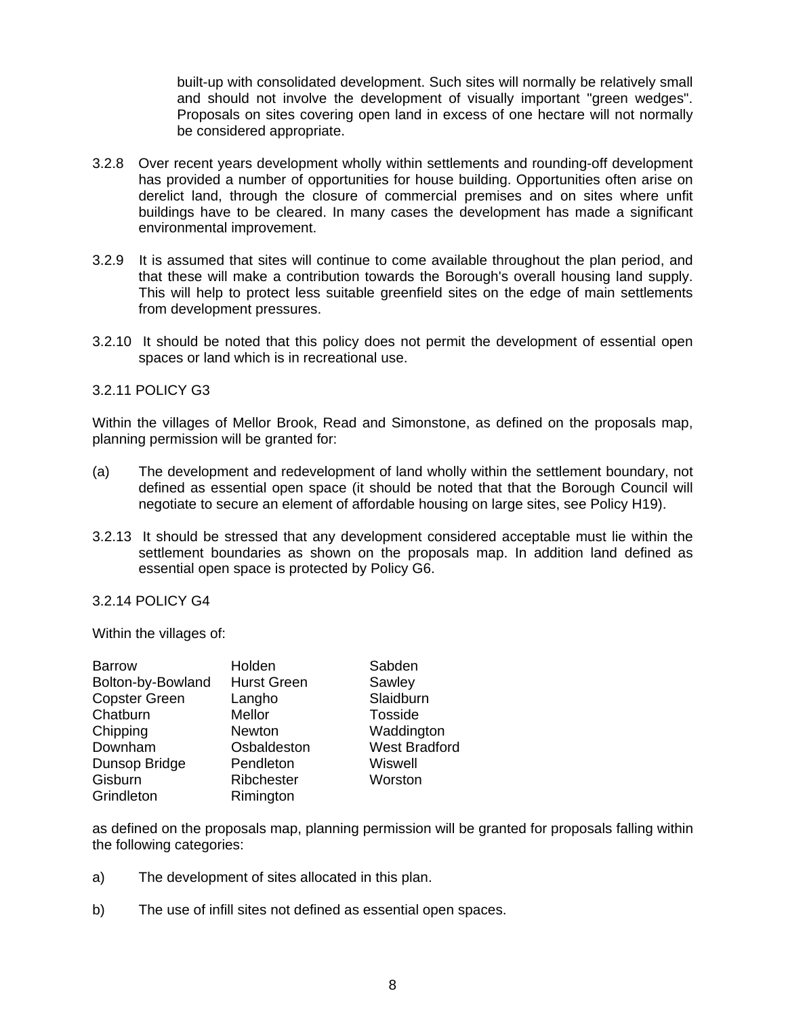built-up with consolidated development. Such sites will normally be relatively small and should not involve the development of visually important "green wedges". Proposals on sites covering open land in excess of one hectare will not normally be considered appropriate.

- 3.2.8 Over recent years development wholly within settlements and rounding-off development has provided a number of opportunities for house building. Opportunities often arise on derelict land, through the closure of commercial premises and on sites where unfit buildings have to be cleared. In many cases the development has made a significant environmental improvement.
- 3.2.9 It is assumed that sites will continue to come available throughout the plan period, and that these will make a contribution towards the Borough's overall housing land supply. This will help to protect less suitable greenfield sites on the edge of main settlements from development pressures.
- 3.2.10 It should be noted that this policy does not permit the development of essential open spaces or land which is in recreational use.

#### 3.2.11 POLICY G3

Within the villages of Mellor Brook, Read and Simonstone, as defined on the proposals map, planning permission will be granted for:

- (a) The development and redevelopment of land wholly within the settlement boundary, not defined as essential open space (it should be noted that that the Borough Council will negotiate to secure an element of affordable housing on large sites, see Policy H19).
- 3.2.13 It should be stressed that any development considered acceptable must lie within the settlement boundaries as shown on the proposals map. In addition land defined as essential open space is protected by Policy G6.

## 3.2.14 POLICY G4

Within the villages of:

| <b>Barrow</b>        | Holden             | Sabden               |
|----------------------|--------------------|----------------------|
| Bolton-by-Bowland    | <b>Hurst Green</b> | Sawley               |
| <b>Copster Green</b> | Langho             | Slaidburn            |
| Chatburn             | Mellor             | Tosside              |
| Chipping             | Newton             | Waddington           |
| Downham              | Osbaldeston        | <b>West Bradford</b> |
| Dunsop Bridge        | Pendleton          | Wiswell              |
| Gisburn              | Ribchester         | Worston              |
| Grindleton           | Rimington          |                      |

as defined on the proposals map, planning permission will be granted for proposals falling within the following categories:

- a) The development of sites allocated in this plan.
- b) The use of infill sites not defined as essential open spaces.